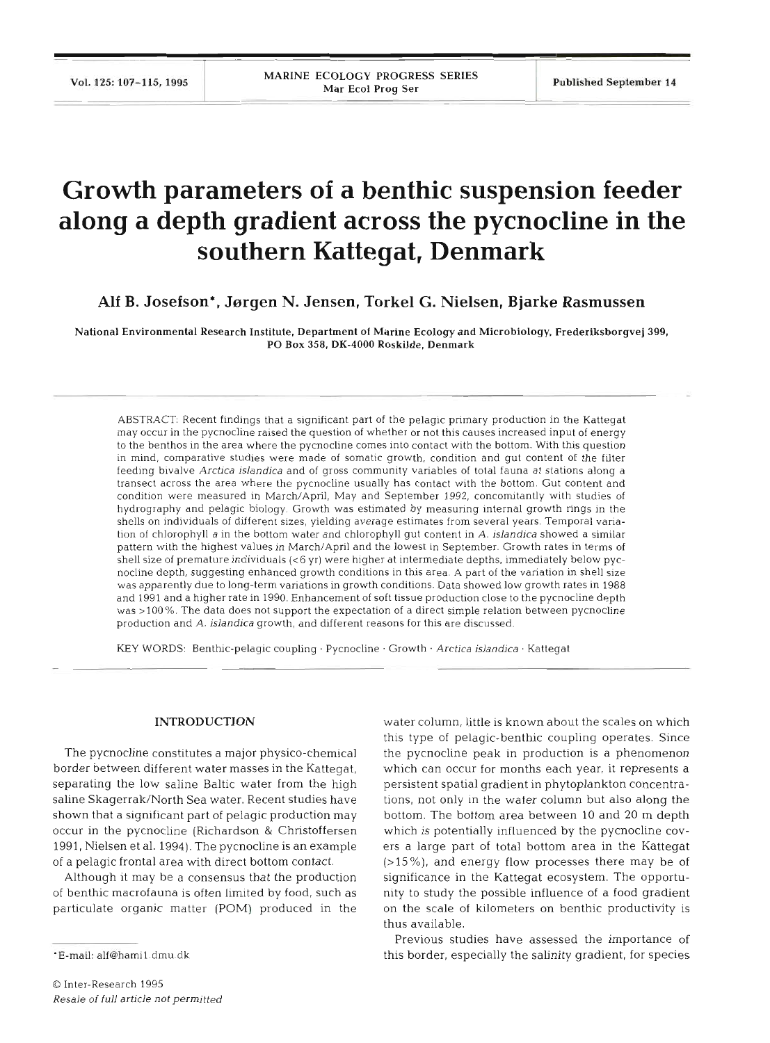# **Growth parameters of a benthic suspension feeder along a depth gradient across the pycnocline in the southern Kattegat, Denmark**

**Alf B. Josefson\*, Jsrgen N. Jensen, Torkel** *G.* **Nielsen, Bjarke Rasmussen** 

National Environmental Research Institute, Department of Marine Ecology and Microbiology, Frederiksborgvej 399, PO Box 358, DK-4000 Roskilde. Denmark

ABSTRACT: Recent findings that a significant part of the pelagic primary production in the Kattegat may occur in the pycnocline raised the question of whether or not this causes increased input of energy to the benthos in the area where the pycnocline comes into contact with the bottom. With this question in mind, comparative studies were made of somatic growth, condition and gut content of the filter feeding bivalve Arctica islandica and of gross community variables of total fauna at stations along a transect across the area where the pycnocline usually has contact with the bottom. Gut content and condition were measured in March/April, May and September 1992, concomitantly with studies of hydrography and pelagic biology. Growth was estimated by measuring internal growth rings in the shells on individuals of different sizes, yielding average estimates from several years. Temporal variation of chlorophyll a in the bottom water and chlorophyll gut content in A. islandica showed a similar pattern with the highest values in March/April and the lowest In September. Growth rates in terms of shell size of premature individuals **(<6** yr) were higher at intermediate depths, immediately below pycnocline depth, suggesting enhanced growth conditions in this area. **A** part of the variation in shell size was apparently due to long-term variations in growth conditions. Data showed low growth rates in 1988 and 1991 and a higher rate in 1990. Enhancement of soft tissue production close to the pycnocline depth was >100%. The data does not support the expectation of a direct simple relation between pycnocline production and A. islandica growth, and different reasons for this are discussed.

KEY **WORDS:** Benthic-pelagic coupling . Pycnocline . Growth . Arctica islandica . Kattegat

# **INTRODUCTION**

The pycnocline constitutes a major physico-chemical border between different water masses in the Kattegat, separating the low saline Baltic water from the high saline Skagerrak/North Sea water. Recent studies have shown that a significant part of pelagic production may occur in the pycnocline (Richardson & Christoffersen 1991, Nielsen et al. 1994). The pycnocline is an example of a pelagic frontal area with direct bottom contact.

Although it may be a consensus that the production of benthic macrofauna is often limited by food, such as particulate organic matter (POM) produced in the

water column, little is known about the scales on which this type of pelagic-benthic coupling operates. Since the pycnocline peak in production is a phenomenon which can occur for months each year, it represents a persistent spatial gradient in phytoplankton concentrations, not only in the water column but also along the bottom. The bottom area between 10 and 20 m depth which is potentially influenced by the pycnocline covers a large part of total bottom area in the Kattegat  $(>15\%)$ , and energy flow processes there may be of significance in the Kattegat ecosystem. The opportunity to study the possible influence of a food gradient on the scale of kilometers on benthic productivity is thus available.

Previous studies have assessed the importance of this border, especially the salinity gradient, for species

<sup>\*</sup>E-mail: alf@hami1.dmu.dk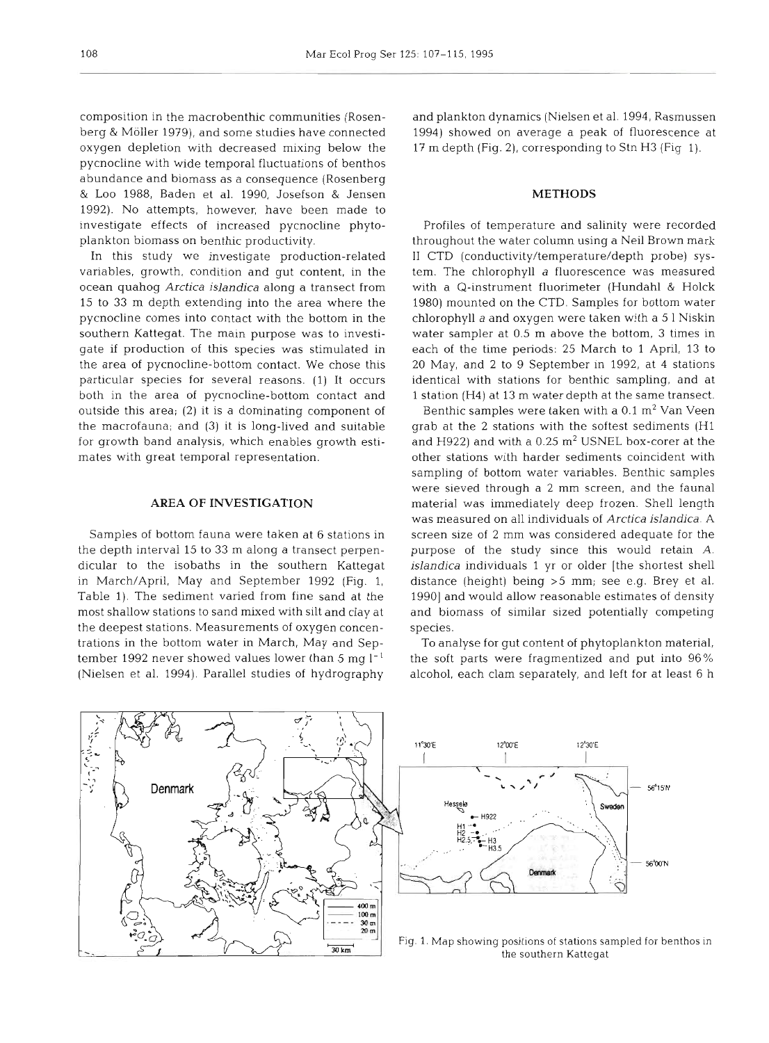composition in the macrobenthic communities (Rosenberg & Moller 1979), and some studies have connected oxygen depletion with decreased mixing below the pycnocline with wide temporal fluctuations of benthos abundance and biomass as a consequence (Rosenberg & Loo 1988, Baden et al. 1990, Josefson & Jensen 1992). No attempts, however, have been made to investigate effects of increased pycnocline phytoplankton biomass on benthic productivity.

In this study we investigate production-related variables, growth, condition and gut content, in the ocean quahog *Arctica islandica* along a transect from 15 to 33 m depth extending into the area where the pycnocline comes into contact with the bottom in the southern Kattegat. The main purpose was to investigate if production of this species was stimulated in the area of pycnocline-bottom contact. We chose this particular species for several reasons. (1) It occurs both in the area of pycnocline-bottom contact and outside this area; (2) it is a dominating component of the macrofauna; and **(3)** it is long-lived and suitable for growth band analysis, which enables growth estimates with great temporal representation.

# **AREA OF INVESTIGATION**

Samples of bottom fauna were taken at 6 stations in the depth interval 15 to **33** m along a transect perpendicular to the isobaths in the southern Kattegat in March/April, May and September 1992 (Fig. 1, Table 1). The sediment varied from fine sand at the most shallow stations to sand mixed with silt and clay at the deepest stations. Measurements of oxygen concentrations in the bottom water in March, May and September 1992 never showed values lower than 5 mg  $l^{-1}$ (Nielsen et al. 1994). Parallel studies of hydrography and plankton dynamics (Nielsen et al. 1994, Rasmussen 1994) showed on average a peak of fluorescence at 17 m depth (Fig. **2),** corresponding to Stn H3 (Fig 1).

# **METHODS**

Profiles of temperature and salinity were recorded throughout the water column using a Neil Brown mark I1 CTD (conductivity/temperature/depth probe) system. The chlorophyll a fluorescence was measured with a Q-instrument fluorimeter (Hundahl **8.** Holck 1980) mounted on the CTD. Samples for bottom water chlorophyll *a* and oxygen were taken with a 5 1 Niskin water sampler at 0.5 m above the bottom, 3 times in each of the time periods: 25 March to 1 April, 13 to 20 May, and 2 to 9 September in 1992, at 4 stations identical with stations for benthic sampling, and at 1 station (H4) at **13** m water depth at the same transect.

Benthic samples were taken with a  $0.1 \text{ m}^2$  Van Veen grab at the 2 stations with the softest sediments (H1 and H922) and with a  $0.25$   $\text{m}^2$  USNEL box-corer at the other stations with harder sediments coincident with sampling of bottom water variables. Benthic samples were sieved through a 2 mm screen, and the fauna1 material was immediately deep frozen. Shell length was measured on all individuals of *Arctica islandica. A*  screen size of 2 mm was considered adequate for the purpose of the study since this would retain A. *islandica* individuals *1 yr* or older [the shortest shell distance (height) being >5 mm; see e.g. Brey et al. 1990] and would allow reasonable estimates of density and biomass of similar sized potentially competing species.

To analyse for gut content of phytoplankton material, the soft parts were fragmentized and put into 96% alcohol, each clam separately, and left for at least 6 h

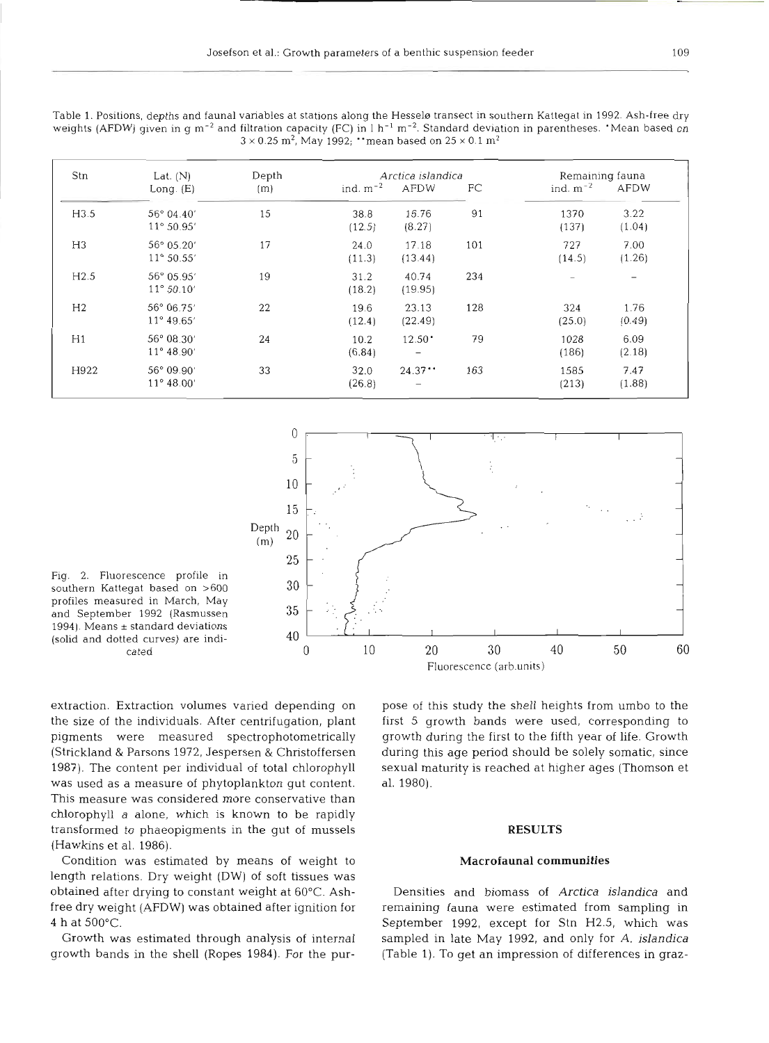Table 1. Positions, depths and faunal variables at stations along the Hesselø transect in southern Kattegat in 1992. Ash-free dry weights (AFDW) given in g m<sup>-2</sup> and filtration capacity (FC) in  $1 h^{-1} m^{-2}$ . Standard deviation in parentheses. 'Mean based on  $3 \times 0.25$  m<sup>2</sup>, May 1992; "mean based on  $25 \times 0.1$  m<sup>2</sup>

| Stn            | Lat. $(N)$          | Depth | Arctica islandica |                          |     |               | Remaining fauna          |  |
|----------------|---------------------|-------|-------------------|--------------------------|-----|---------------|--------------------------|--|
|                | Long. $(E)$         | (m)   | ind. $m^{-2}$     | AFDW                     | FC  | ind. $m^{-2}$ | AFDW                     |  |
| H3.5           | $56^{\circ}$ 04.40' | 15    | 38.8              | 16.76                    | 91  | 1370          | 3.22                     |  |
|                | 11° 50.95'          |       | (12.5)            | (8.27)                   |     | (137)         | (1.04)                   |  |
| H <sub>3</sub> | 56° 05.20'          | 17    | 24.0              | 17.18                    | 101 | 727           | 7.00                     |  |
|                | $11^{\circ} 50.55'$ |       | (11.3)            | (13.44)                  |     | (14.5)        | (1.26)                   |  |
| H2.5           | 56° 05.95'          | 19    | 31.2              | 40.74                    | 234 |               | $\overline{\phantom{0}}$ |  |
|                | $11^{\circ} 50.10'$ |       | (18.2)            | (19.95)                  |     |               |                          |  |
| H <sub>2</sub> | 56° 06.75'          | 22    | 19.6              | 23.13                    | 128 | 324           | 1.76                     |  |
|                | $11^{\circ} 49.65'$ |       | (12.4)            | (22.49)                  |     | (25.0)        | (0.49)                   |  |
| H1             | $56^{\circ}$ 08.30' | 24    | 10.2              | $12.50$ <sup>*</sup>     | 79  | 1028          | 6.09                     |  |
|                | $11^{\circ} 48.90'$ |       | (6.84)            | $\overline{\phantom{m}}$ |     | (186)         | (2.18)                   |  |
| H922           | $56^{\circ}$ 09.90' | 33    | 32.0              | 24.37                    | 163 | 1585          | 7.47                     |  |
|                | $11^{\circ} 48.00'$ |       | (26.8)            | $\overline{\phantom{m}}$ |     | (213)         | (1.88)                   |  |



Fig. 2. Fluorescence profile in southern Kattegat based on >600 profiles measured in March, May and September 1992 (Rasmussen 1994). Means ± standard deviations (solid and dotted curves) are indicated

extraction. Extraction volumes varied depending on pose of this study the shell heights from umbo to the the size of the individuals. After centrifugation, plant first *<sup>5</sup>*growth bands were used, corresponding to pigments were measured spectrophotometrically growth during the first to the fifth year of life. Growth (Strickland & Parsons 1972, Jespersen & Christoffersen during this age period should be solely somatic, since 1987). The content per individual of total chlorophyll sexual maturity is reached at higher ages (Thomson et was used as a measure of phytoplankton gut content. al. 1980). This measure was considered more conservative  ${\rm th}$ chlorophyll *a* alone, which is known to be rapidly transformed to phaeopigments in the gut of mussels **RESULTS**  (Hawkins et al. 1986).

Condition was estimated by means of weight to **Macrofaunal communities**  length relations. Dry weight (DW) of soft tissues was obtained after drying to constant weight at 60°C. Ash- Densities and biomass of *Arctica islandica* and

free dry weight (AFDW) was obtained after ignition for remaining fauna were estimated from sampling in **4** h at 500°C. September 1992, except for Stn H2.5, which was Growth was estimated through analysis of internal sampled in late May 1992, and only for A. *islandica*  growth bands in the shell (Ropes 1984). For the pur- (Table 1). To get an impression of differences in graz-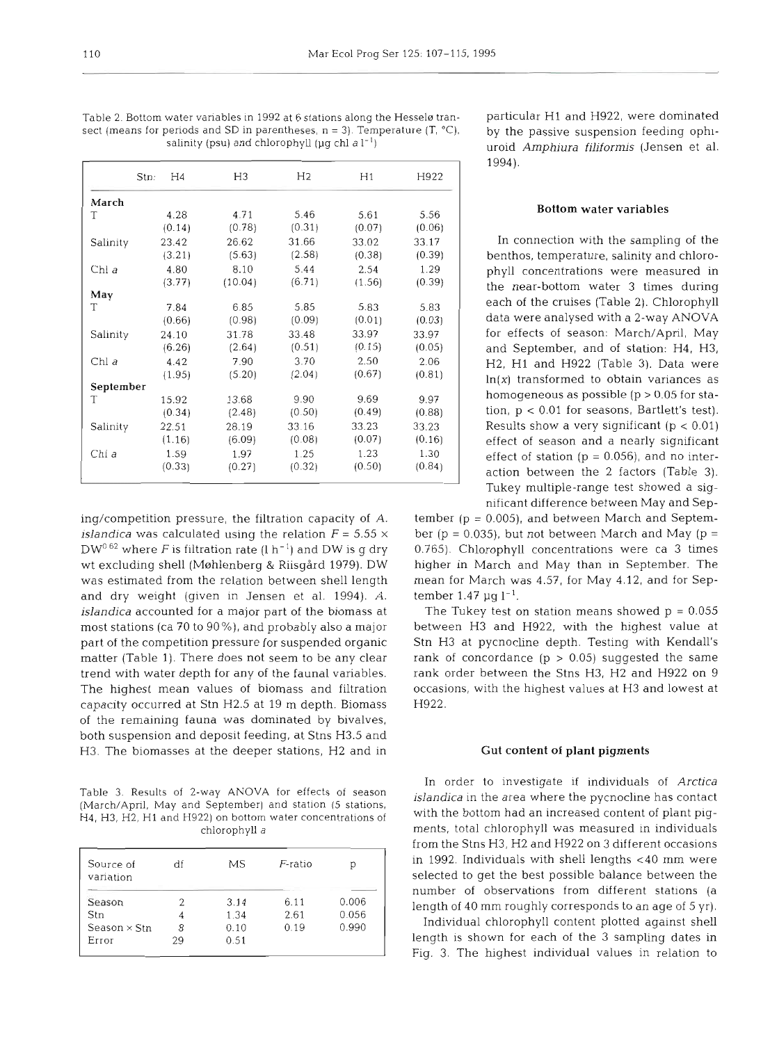|           | H <sub>4</sub><br>Stn: | H3      | H <sub>2</sub> | H1     | H922   |
|-----------|------------------------|---------|----------------|--------|--------|
| March     |                        |         |                |        |        |
| T         | 4.28                   | 4.71    | 5.46           | 5.61   | 5.56   |
|           | (0.14)                 | (0.78)  | (0.31)         | (0.07) | (0.06) |
| Salinity  | 23.42                  | 26.62   | 31.66          | 33.02  | 33.17  |
|           | (3.21)                 | (5.63)  | (2.58)         | (0.38) | (0.39) |
| Chl a     | 4.80                   | 8.10    | 5.44           | 2.54   | 1.29   |
|           | (3.77)                 | (10.04) | (6.71)         | (1.56) | (0.39) |
| May       |                        |         |                |        |        |
| T         | 7.84                   | 6.85    | 5.85           | 5.83   | 5.83   |
|           | (0.66)                 | (0.98)  | (0.09)         | (0.01) | (0.03) |
| Salinity  | 24.10                  | 31.78   | 33.48          | 33.97  | 33.97  |
|           | (6.26)                 | (2.64)  | (0.51)         | (0.15) | (0.05) |
| Chl a     | 4.42                   | 7.90    | 3.70           | 2.50   | 2.06   |
|           | (1.95)                 | (5.20)  | (2.04)         | (0.67) | (0.81) |
| September |                        |         |                |        |        |
| T         | 15.92                  | 13.68   | 9.90           | 9.69   | 9.97   |
|           | (0.34)                 | (2.48)  | (0.50)         | (0.49) | (0.88) |
| Salinity  | 22.51                  | 28.19   | 33.16          | 33.23  | 33.23  |
|           | (1.16)                 | (6.09)  | (0.08)         | (0.07) | (0.16) |
| Chl a     | 1.59                   | 1.97    | 1.25           | 1.23   | 1.30   |
|           | (0.33)                 | (0.27)  | (0.32)         | (0.50) | (0.84) |

Table 2. Bottom water variables in 1992 at 6 stations along the Hessele tran- particular H1 and H922, were dominated sect (means for periods and SD in parentheses, n = 3). Temperature  $(T, {}^oC)$ , by the passive suspension feeding ophisalinity (psu) and chlorophyll (µg chl a l<sup>-1</sup>) uroid *Amphiura filiformis* (Janson at al

ing/competition pressure, the filtration capacity of A. *islandica* was calculated using the relation  $F = 5.55 \times$  $DW^{0.62}$  where F is filtration rate (l h<sup>-1</sup>) and DW is g dry wt excluding shell (Møhlenberg & Riisgård 1979). DW was estimated from the relation between shell length and dry weight (given in Jensen et al. 1994). A. islandica accounted for a major part of the biomass at most stations (ca 70 to go%), and probably also a major part of the competition pressure for suspended organic matter (Table 1). There does not seem to be any clear trend with water depth for any of the faunal variables. The highest mean values of biomass and filtration capacity occurred at Stn H2.5 at 19 m depth. Biomass of the remaining fauna was dominated by bivalves, both suspension and deposit feeding, at Stns H3.5 and H3. The biomasses at the deeper stations, H2 and in

Table 3. Results of 2-way ANOVA for effects of season (March/April, May and September) and station (5 stations, H4, H3, H2, H1 and H922) on bottom water concentrations of chlorophyll a

| df | MS   | $F$ -ratio | D     |
|----|------|------------|-------|
|    | 3.14 | 6.11       | 0.006 |
| 4  | 1.34 | 2.61       | 0.056 |
| 8  | 0.10 | 0.19       | 0.990 |
| 29 | 0.51 |            |       |
|    |      |            |       |

uroid Amphiura filiformis (Jensen et al. 1994).

#### Bottom water variables

In connection with the sampling of the benthos, temperature, salinity and chlorophyll concentrations were measured in the near-bottom water 3 times during each of the cruises (Table 2). Chlorophyll data were analysed with a 2-way **ANOVA**  for effects of season: March/April, May and September, and of station: H4, H3, H2, H1 and H922 (Table 3). Data were  $ln(x)$  transformed to obtain variances as homogeneous as possible  $(p > 0.05$  for station, p < 0.01 for seasons, Bartlett's test). Results show a very significant  $(p < 0.01)$ effect of season and a nearly significant effect of station ( $p = 0.056$ ), and no interaction between the 2 factors (Table 3). Tukey multiple-range test showed a significant difference between May and Sep-

tember ( $p = 0.005$ ), and between March and September ( $p = 0.035$ ), but not between March and May ( $p =$ 0.765). Chlorophyll concentrations were ca 3 times higher in March and May than in September. The mean for March was 4.57, for May 4.12, and for September 1.47  $\mu$ g l<sup>-1</sup>.

The Tukey test on station means showed  $p = 0.055$ between H3 and H922, with the highest value at Stn H3 at pycnocline depth. Testing with Kendall's rank of concordance  $(p > 0.05)$  suggested the same rank order between the Stns H3, H2 and H922 on 9 occasions, with the highest values at H3 and lowest at H922.

### Gut content of plant pigments

In order to investigate if individuals of Arctica islandica in the area where the pycnocline has contact with the bottom had an increased content of plant pigments, total chlorophyll was measured in individuals from the Stns H3, H2 and H922 on **3** different occasions in 1992. Individuals with shell lengths c40 mm were selected to get the best possible balance between the number of observations from different stations (a length of 40 mm roughly corresponds to an age of 5 yr).

Fig. 3. The highest individual values in relation to Individual chlorophyll content plotted against shell length is shown for each of the 3 sampling dates in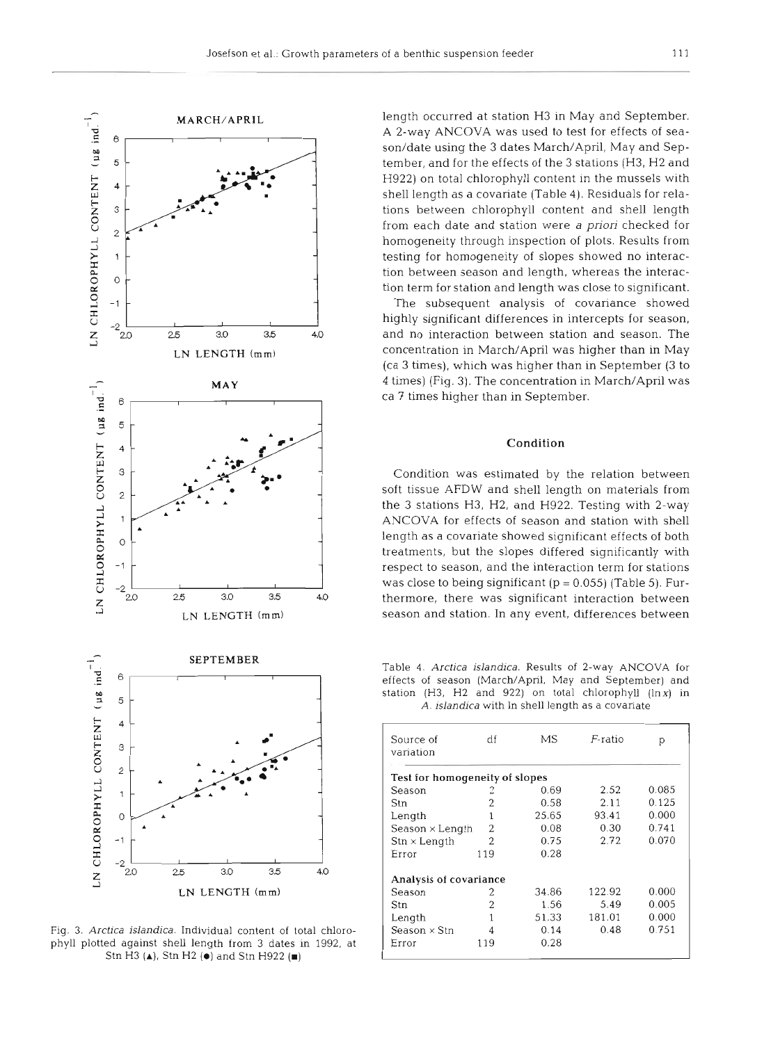

Fig. 3. *Arctica jslandica.* Individual content of total chlorophyll plotted against shell length from 3 dates in 1992, at Stn H3 (A), Stn H2 **(0)** and Stn H922 (m)

length occurred at station H3 in May and September. A 2-way ANCOVA was used to test for effects of season/date using the 3 dates March/April, May and September, and for the effects of the 3 stations (H3, H2 and H922) on total chlorophyll content in the mussels with shell length as a covariate (Table **4).** Residuals for relations between chlorophyll content and shell length from each date and station were a *priori* checked for homogeneity through inspection of plots. Results from testing for homogeneity of slopes showed no interaction between season and length, whereas the interaction term for station and length was close to significant.

The subsequent analysis of covariance showed highly significant differences in intercepts for season, and no interaction between station and season. The concentration in March/April was higher than in May (ca 3 times), which was higher than in September (3 to 4 times) (Fig. 3). The concentration in March/April was ca 7 times higher than in September.

# **Condition**

Condition was estimated by the relation between soft tissue AFDW and shell length on materials from the 3 stations H3, H2, and H922. Testing with 2-way ANCOVA for effects of season and station with shell length as a covariate showed significant effects of both treatments, but the slopes differed significantly with respect to season, and the interaction term for stations was close to being significant  $(p = 0.055)$  (Table 5). Furthermore, there was significant interaction between season and station. In any event, differences between

SEPTEMBER Table 4. *Arctica islandica.* Results of **2-way** ANCOVA for effects of season (March/April, May and September) and station (H3, H2 and 922) on total chlorophyll (lnx) in *A. islandica* with In shell length as a covariate

| Source of<br>variation            | df  | МS    | $F$ -ratio | р     |
|-----------------------------------|-----|-------|------------|-------|
| Test for homogeneity of slopes    |     |       |            |       |
| Season                            | 2   | 0.69  | 2.52       | 0.085 |
| Stn                               | 2   | 0.58  | 2.11       | 0.125 |
| Length                            | 1   | 25.65 | 93.41      | 0.000 |
| Season $\times$ Length            | 2   | 0.08  | 0.30       | 0.741 |
| $\text{Stn} \times \text{Length}$ | 2   | 0.75  | 2.72       | 0.070 |
| Error                             | 119 | 0.28  |            |       |
| Analysis of covariance            |     |       |            |       |
| Season                            | 2   | 34.86 | 122.92     | 0.000 |
| Stn                               | 2   | 1.56  | 5.49       | 0.005 |
| Length                            | 1   | 51.33 | 181.01     | 0.000 |
| Season $\times$ Stn               | 4   | 0.14  | 0.48       | 0.751 |
| Error                             | 119 | 0.28  |            |       |
|                                   |     |       |            |       |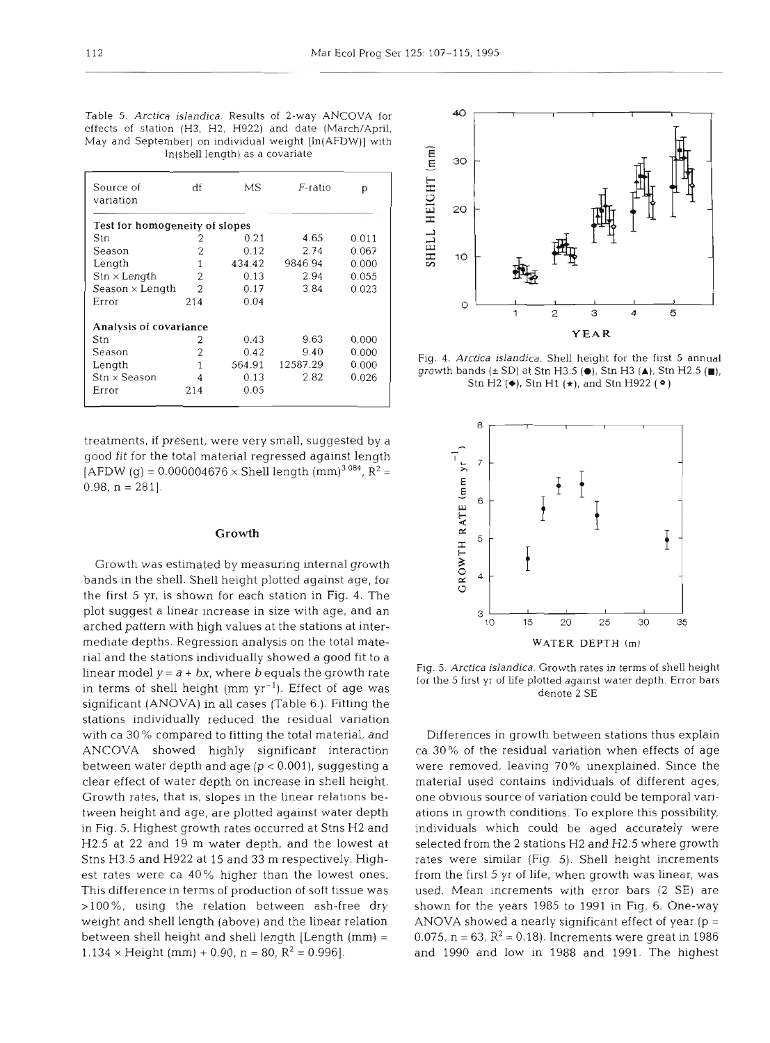| Table 5. Arctica islandica. Results of 2-way ANCOVA for  |               | 40 i |
|----------------------------------------------------------|---------------|------|
| effects of station (H3, H2, H922) and date (March/April, |               |      |
| May and September) on individual weight [In(AFDW)] with  |               |      |
| ln(shell length) as a covariate                          | $\widehat{E}$ |      |

| Source of<br>variation            | df  | МS     | F-ratio  | р     |
|-----------------------------------|-----|--------|----------|-------|
| Test for homogeneity of slopes    |     |        |          |       |
| Stn                               | 2   | 0.21   | 4.65     | 0.011 |
| Season                            | 2   | 0.12   | 2.74     | 0.067 |
| Length                            |     | 434.42 | 9846.94  | 0.000 |
| $\text{Str} \times \text{Length}$ | 2   | 0.13   | 2.94     | 0.055 |
| Season $\times$ Length            | 2   | 0.17   | 3.84     | 0.023 |
| Error                             | 214 | 0.04   |          |       |
| Analysis of covariance            |     |        |          |       |
| Stn                               | 2   | 0.43   | 9.63     | 0.000 |
| Season                            | 2   | 0.42   | 9.40     | 0.000 |
| Length                            | 1   | 564.91 | 12587.29 | 0.000 |
| $\text{Stn} \times \text{Season}$ | 4   | 0.13   | 2.82     | 0.026 |
| Error                             | 214 | 0.05   |          |       |

treatments, if present, were very small, suggested by a good fit for the total material regressed against length [AFDW (g) = 0.000004676  $\times$  Shell length (mm)<sup>3 084</sup>, R<sup>2</sup> = 0.98,  $n = 281$ .

### Growth

Growth was estimated by measuring internal growth bands in the shell. Shell height plotted against age, for the first 5 yr, is shown for each station in Fig. 4. The plot suggest a linear increase in size with age, and an arched pattern with high values at the stations at intermediate depths. Regression analysis on the total material and the stations individually showed a good fit to a linear model  $y = a + bx$ , where b equals the growth rate in terms of shell height  $(nm yr^{-1})$ . Effect of age was significant (ANOVA) in all cases (Table 6.). Fitting the stations individually reduced the residual variation with ca 30 % compared to fitting the total material, and ANCOVA showed highly significant interaction between water depth and age (p < 0.001), suggesting a clear effect of water depth on increase in shell height. Growth rates, that is, slopes in the linear relations between height and age, are plotted against water depth in Fig. 5. Highest growth rates occurred at Stns H2 and H2.5 at 22 and 19 m water depth, and the lowest at Stns H3.5 and H922 at 15 and 33 m respectively. Highest rates were ca 40% higher than the lowest ones. This difference in terms of production of soft tissue was >100%, using the relation between ash-free dry weight and shell length (above) and the linear relation between shell height and shell length [Length (mm) <sup>=</sup>  $1.134 \times$  Height (mm) + 0.90, n = 80, R<sup>2</sup> = 0.996].



Fig. 4. *Arctjca islandica.* Shell height for the first 5 annual growth bands (i SD) at Stn H3.5 **(O),** Stn H3 **(A),** Stn H2.5 **(m),**  Stn H2 ( $\bullet$ ), Stn H1 ( $\star$ ), and Stn H922 ( $\circ$ )



Fig. 5. *Arctjca islandica.* Growth rates in terms of shell height for the 5 first yr of life plotted against water depth. Error bars denote 2 SE

Differences in growth between stations thus explain ca 30% of the residual variation when effects of age were removed, leaving 70% unexplained. Since the material used contains individuals of different ages, one obvious source of variation could be temporal variations in growth conditions. To explore this possibility, individuals which could be aged accurately were selected from the 2 stations H2 and H2.5 where growth rates were similar (Fig. 5). Shell height increments from the first 5 yr of life, when growth was linear, was used. Mean increments with error bars (2 SE) are shown for the years 1985 to 1991 in Fig. 6. One-way ANOVA showed a nearly significant effect of year ( $p =$ 0.075,  $n = 63$ ,  $R^2 = 0.18$ ). Increments were great in 1986 and 1990 and low in 1988 and 1991. The highest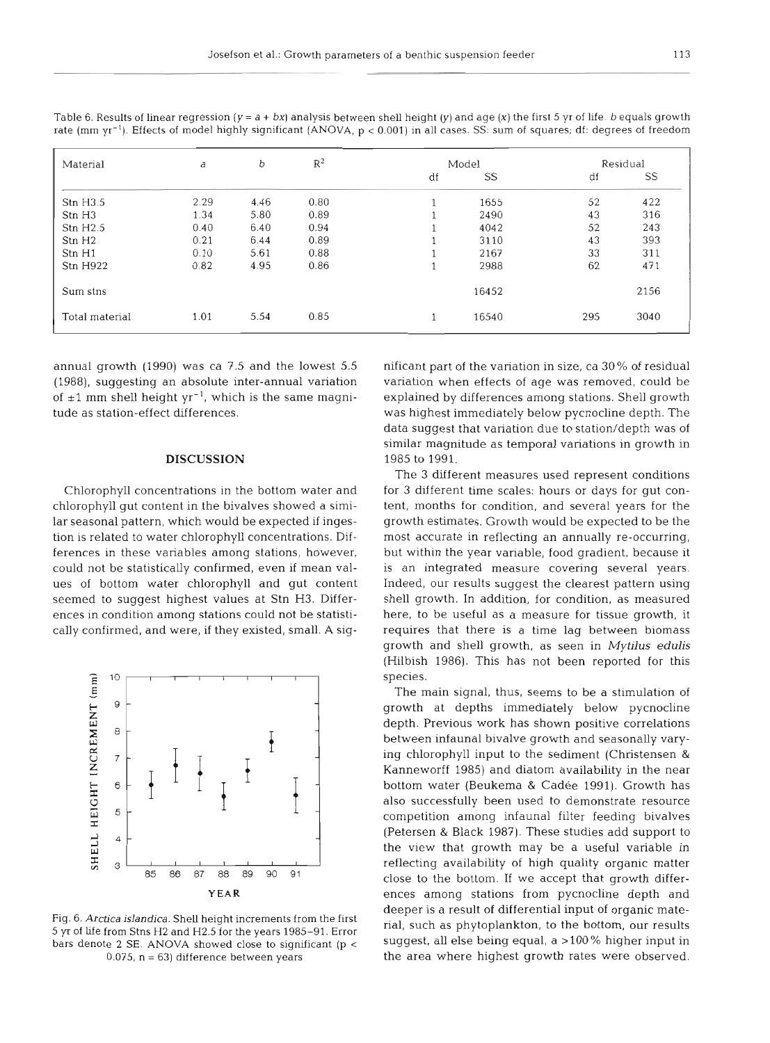| Material           | b<br>a |      | $R^2$ | Model |       |     | Residual |  |
|--------------------|--------|------|-------|-------|-------|-----|----------|--|
|                    |        |      |       | df    | SS    | df  | SS       |  |
| Str H3.5           | 2.29   | 4.46 | 0.80  |       | 1655  | 52  | 422      |  |
| Stn H <sub>3</sub> | 1.34   | 5.80 | 0.89  |       | 2490  | 43  | 316      |  |
| Stn H2.5           | 0.40   | 6.40 | 0.94  |       | 4042  | 52  | 243      |  |
| Stn H <sub>2</sub> | 0.21   | 6.44 | 0.89  |       | 3110  | 43  | 393      |  |
| Stn H1             | 0.10   | 5.61 | 0.88  |       | 2167  | 33  | 311      |  |
| <b>Stn H922</b>    | 0.82   | 4.95 | 0.86  |       | 2988  | 62  | 471      |  |
| Sum stns           |        |      |       |       | 16452 |     | 2156     |  |
| Total material     | 1.01   | 5.54 | 0.85  |       | 16540 | 295 | 3040     |  |

Table 6. Results of linear regression (y = a + **bx)** analysis between shell height (y) and age (X) the first 5 yr of life. b equals growth rate (mm yr-l). Effects of model highly significant (ANOVA, p < 0.001) in all cases. SS: sum of squares; df: degrees of freedom

annual growth (1990) was ca 7.5 and the lowest 5.5 (1988), suggesting an absolute inter-annual variation of  $\pm 1$  mm shell height yr<sup>-1</sup>, which is the same magnitude as station-effect differences.

### **DISCUSSION**

Chlorophyll concentrations in the bottom water and chlorophyll gut content in the bivalves showed a similar seasonal pattern, which would be expected if ingestion is related to water chlorophyll concentrations. Differences in these variables among stations, however, could not be statistically confirmed, even if mean values of bottom water chlorophyll and gut content seemed to suggest highest values at Stn H3. Differences in condition among stations could not be statistically confirmed, and were, if they existed, small. A sig-



Fig. 6. *Arctica islandica.* Shell height increments from the first 5 yr of life from Stns H2 and H2.5 for the years 1985-91. Error bars denote 2 SE. ANOVA showed close to significant (p <sup>&</sup>lt; 0.075,  $n = 63$ ) difference between years

nificant part of the variation in size, ca 30% of residual variation when effects of age was removed, could be explained by differences among stations. Shell growth was highest immediately below pycnocline depth. The data suggest that variation due to station/depth was of similar magnitude as temporal variations in growth in 1985 to 1991.

The 3 different measures used represent conditions for 3 different time scales: hours or days for gut content, months for condition, and several years for the growth estimates. Growth would be expected to be the most accurate in reflecting an annually re-occurring, but within the year variable, food gradient, because it is an integrated measure covering several years. Indeed, our results suggest the clearest pattern using shell growth. In addition, for condition, as measured here, to be useful as a measure for tissue growth, it requires that there is a time lag between biomass growth and shell growth, as seen in *Mytilus* **edulis**  (Hilbish 1986). This has not been reported for this species.

The main signal, thus, seems to be a stimulation of growth at depths immediately below pycnocline depth. Previous work has shown positive correlations between infaunal bivalve growth and seasonally varying chlorophyll input to the sediment (Christensen & Kanneworff 1985) and diatom availability in the near bottom water (Beukema & Cadee 1991). Growth has also successfully been used to demonstrate resource competition among infaunal filter feeding bivalves (Petersen & Black 1987). These studies add support to the view that growth may be a useful variable in reflecting availability of high quality organic matter close to the bottom. If we accept that growth differences among stations from pycnocline depth and deeper is a result of differential input of organic material, such as phytoplankton, to the bottom, our results suggest, all else being equal, a  $>$ 100% higher input in the area where highest growth rates were observed.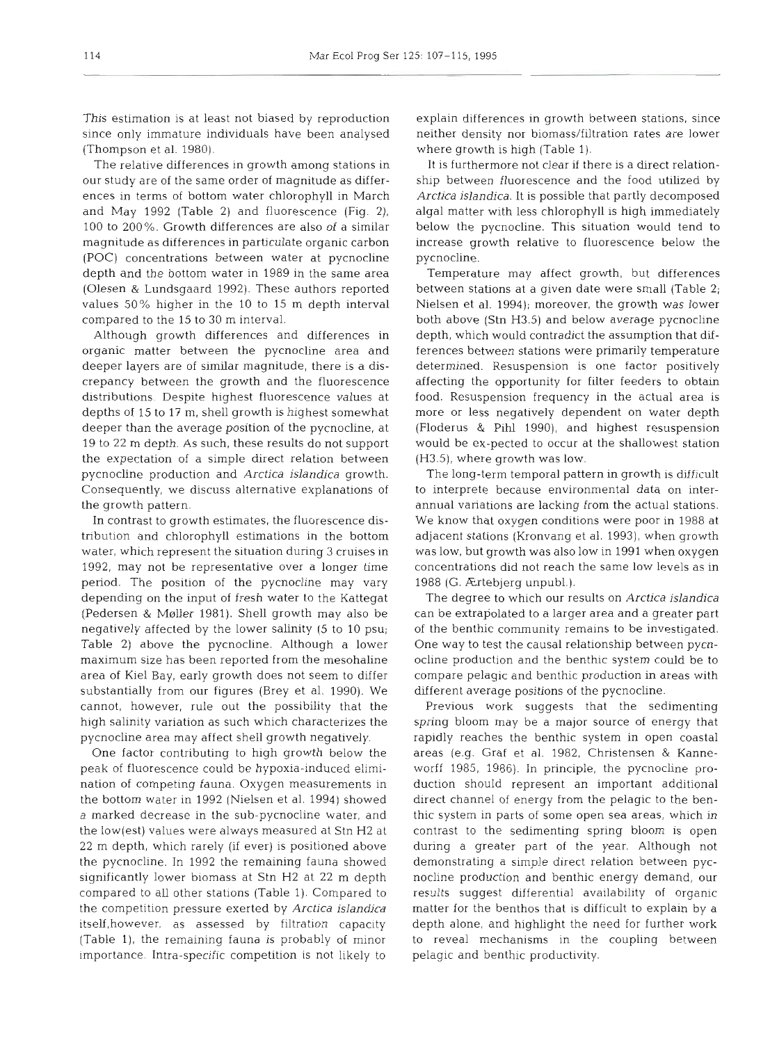This estimation is at least not biased by reproduction since only immature individuals have been analysed (Thompson et al. 1980).

The relative differences in growth among stations in our study are of the same order of magnitude as differences in terms of bottom water chlorophyll in March and May 1992 (Table 2) and fluorescence (Fig. 2), 100 to 200%. Growth differences are also of a similar magnitude as differences in particulate organic carbon (POC) concentrations between water at pycnocline depth and the bottom water in 1989 in the same area (Olesen & Lundsgaard 1992). These authors reported values 50% higher in the 10 to 15 m depth interval compared to the 15 to 30 m interval.

Although growth differences and differences in organic matter between the pycnocline area and deeper layers are of similar magnitude, there is a discrepancy between the growth and the fluorescence distributions. Despite highest fluorescence values at depths of 15 to 17 m, shell growth is highest somewhat deeper than the average position of the pycnocline, at 19 to 22 m depth. As such, these results do not support the expectation of a simple direct relation between pycnocline production and *Arctica islandica* growth. Consequently, we discuss alternative explanations of the growth pattern.

In contrast to growth estimates, the fluorescence distribution and chlorophyll estimations in the bottom water, which represent the situation during 3 cruises in 1992, may not be representative over a longer time period. The position of the pycnocline may vary depending on the input of fresh water to the Kattegat (Pedersen & Møller 1981). Shell growth may also be negatively affected by the lower salinity (5 to 10 psu; Table 2) above the pycnocline. Although a lower maximum size has been reported from the mesohaline area of Kiel Bay, early growth does not seem to differ substantially from our figures (Brey et al. 1990). We cannot, however, rule out the possibility that the high salinity variation as such which characterizes the pycnocline area may affect shell growth negatively.

One factor contributing to high growth below the peak of fluorescence could be hypoxia-induced elimination of competing fauna. Oxygen measurements in the bottom water in 1992 (Nielsen et al. 1994) showed a marked decrease in the sub-pycnocline water, and the low(est) values were always measured at Stn H2 at 22 m depth, which rarely (if ever) is positioned above the pycnocline. In 1992 the remaining fauna showed significantly lower biomass at Stn H2 at 22 m depth compared to all other stations (Table 1). Compared to the competition pressure exerted by *Arctica islandica*  itself, however, as assessed by filtration capacity (Table l), the remaining fauna is probably of minor importance. Intra-specific competition is not likely to

explain differences in growth between stations, since neither density nor biomass/filtration rates are lower where growth is high (Table 1).

It is furthermore not clear if there is a direct relationship between fluorescence and the food utilized by *Arctica islandica.* It is possible that partly decomposed algal matter with less chlorophyll is high immediately below the pycnocline. This situation would tend to increase growth relative to fluorescence below the pycnocline.

Temperature may affect growth, but differences between stations at a given date were small (Table 2; Nielsen et al. 1994); moreover, the growth was lower both above (Stn H3.5) and below average pycnocline depth, which would contradict the assumption that differences between stations were primarily temperature determined. Resuspension is one factor positively affecting the opportunity for filter feeders to obtain food. Resuspension frequency in the actual area is more or less negatively dependent on water depth (Floderus & Pihl 1990), and highest resuspension would be ex-pected to occur at the shallowest station (H3.5), where growth was low.

The long-term temporal pattern in growth is difficult to interprete because environmental data on interannual variations are lacking from the actual stations. We know that oxygen conditions were poor in 1988 at adjacent stations (Kronvang et al. 1993), when growth was low, but growth was also low in 1991 when oxygen concentrations did not reach the same low levels as in 1988 (G. Ertebjerg unpubl.).

The degree to which our results on *Arctica islandica*  can be extrapolated to a larger area and a greater part of the benthic community remains to be investigated. One way to test the causal relationship between pycnocline production and the benthic system could be to compare pelagic and benthic production in areas with different average positions of the pycnocline.

Previous work suggests that the sedimenting spring bloom may be a major source of energy that rapidly reaches the benthic system in open coastal areas (e.g. Graf et al. 1982, Christensen & Kanneworff 1985, 1986). In principle, the pycnocline production should represent an important additional direct channel of energy from the pelagic to the benthic system in parts of some open sea areas, which in contrast to the sedimenting spring bloom is open during a greater part of the year. Although not demonstrating a simple direct relation between pycnocline production and benthic energy demand, our results suggest differential availability of organic matter for the benthos that is difficult to explain by a depth alone, and highlight the need for further work to reveal mechanisms in the coupling between pelagic and benthic productivity.